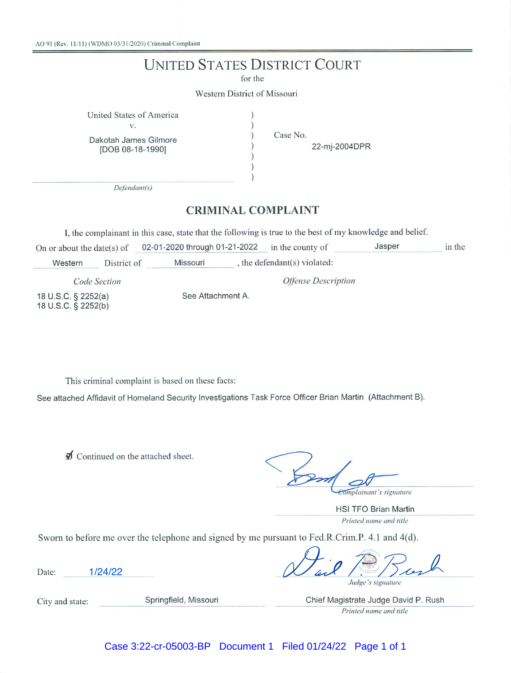# **UNITED STATES DISTRICT COURT**

for the

Western District of Missouri

United States of America V.

Dakotah James Gilmore [DOB 08-18-1990]

Case No.

22-mj-2004DPR

 $Defendant(s)$ 

## **CRIMINAL COMPLAINT**

I, the complainant in this case, state that the following is true to the best of my knowledge and belief.

02-01-2020 through 01-21-2022 in the county of Jasper in the On or about the date(s) of Western Missouri , the defendant(s) violated: District of Code Section **Offense Description** 18 U.S.C. § 2252(a) See Attachment A. 18 U.S.C. § 2252(b)

This criminal complaint is based on these facts:

See attached Affidavit of Homeland Security Investigations Task Force Officer Brian Martin (Attachment B).

Continued on the attached sheet.

complainant's signature

**HSI TFO Brian Martin** Printed name and title

Sworn to before me over the telephone and signed by me pursuant to Fed.R.Crim.P. 4.1 and 4(d).

Date: 1/24/22

Judge's signature

City and state:

Springfield, Missouri

Chief Magistrate Judge David P. Rush Printed name and title

Case 3:22-cr-05003-BP Document 1 Filed 01/24/22 Page 1 of 1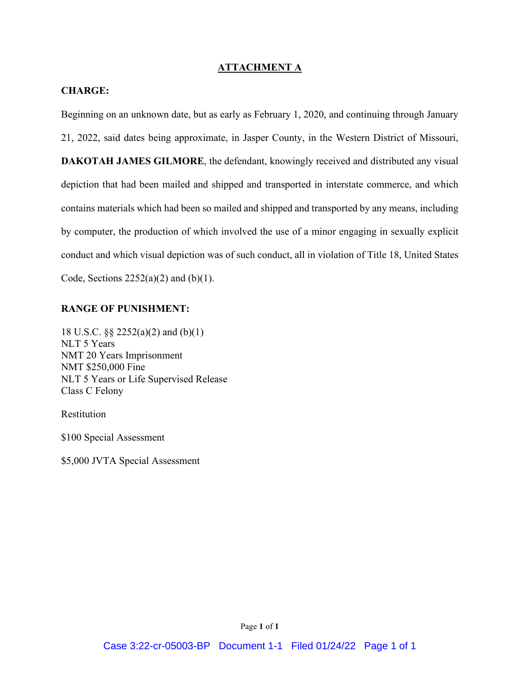### **ATTACHMENT A**

### **CHARGE:**

Beginning on an unknown date, but as early as February 1, 2020, and continuing through January 21, 2022, said dates being approximate, in Jasper County, in the Western District of Missouri, **DAKOTAH JAMES GILMORE**, the defendant, knowingly received and distributed any visual depiction that had been mailed and shipped and transported in interstate commerce, and which contains materials which had been so mailed and shipped and transported by any means, including by computer, the production of which involved the use of a minor engaging in sexually explicit conduct and which visual depiction was of such conduct, all in violation of Title 18, United States Code, Sections  $2252(a)(2)$  and  $(b)(1)$ .

### **RANGE OF PUNISHMENT:**

18 U.S.C. §§ 2252(a)(2) and (b)(1) NLT 5 Years NMT 20 Years Imprisonment NMT \$250,000 Fine NLT 5 Years or Life Supervised Release Class C Felony

Restitution

\$100 Special Assessment

\$5,000 JVTA Special Assessment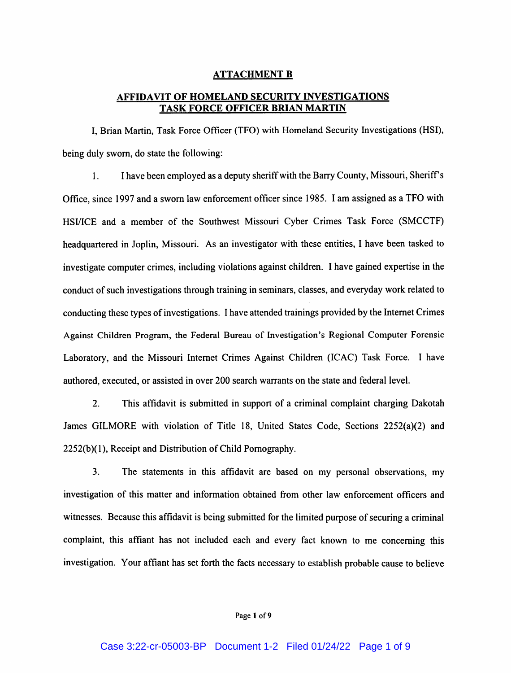### **ATTACHMENT B**

### AFFIDAVIT OF HOMELAND SECURITY INVESTIGATIONS **TASK FORCE OFFICER BRIAN MARTIN**

I, Brian Martin, Task Force Officer (TFO) with Homeland Security Investigations (HSI), being duly sworn, do state the following:

I have been employed as a deputy sheriff with the Barry County, Missouri, Sheriff's  $1<sub>1</sub>$ Office, since 1997 and a sworn law enforcement officer since 1985. I am assigned as a TFO with HSI/ICE and a member of the Southwest Missouri Cyber Crimes Task Force (SMCCTF) headquartered in Joplin, Missouri. As an investigator with these entities, I have been tasked to investigate computer crimes, including violations against children. I have gained expertise in the conduct of such investigations through training in seminars, classes, and everyday work related to conducting these types of investigations. I have attended trainings provided by the Internet Crimes Against Children Program, the Federal Bureau of Investigation's Regional Computer Forensic Laboratory, and the Missouri Internet Crimes Against Children (ICAC) Task Force. I have authored, executed, or assisted in over 200 search warrants on the state and federal level.

 $2<sub>1</sub>$ This affidavit is submitted in support of a criminal complaint charging Dakotah James GILMORE with violation of Title 18, United States Code, Sections 2252(a)(2) and 2252(b)(1), Receipt and Distribution of Child Pornography.

 $3<sub>1</sub>$ The statements in this affidavit are based on my personal observations, my investigation of this matter and information obtained from other law enforcement officers and witnesses. Because this affidavit is being submitted for the limited purpose of securing a criminal complaint, this affiant has not included each and every fact known to me concerning this investigation. Your affiant has set forth the facts necessary to establish probable cause to believe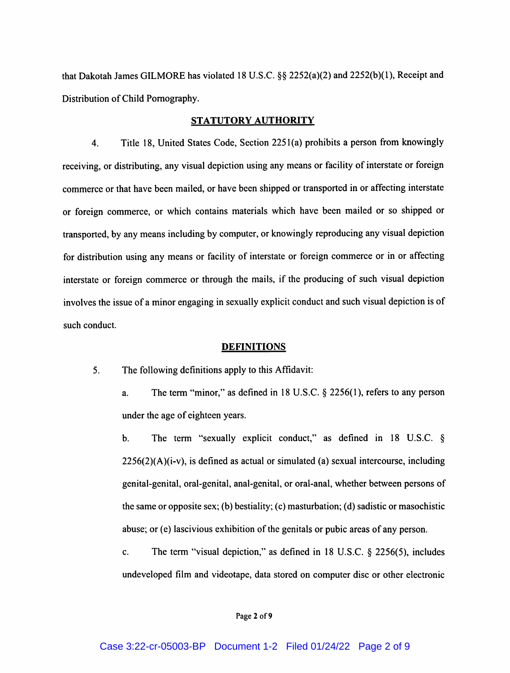that Dakotah James GILMORE has violated 18 U.S.C. §§ 2252(a)(2) and 2252(b)(1), Receipt and Distribution of Child Pornography.

#### STATUTORY AUTHORITY

Title 18, United States Code, Section 2251(a) prohibits a person from knowingly  $4.$ receiving, or distributing, any visual depiction using any means or facility of interstate or foreign commerce or that have been mailed, or have been shipped or transported in or affecting interstate or foreign commerce, or which contains materials which have been mailed or so shipped or transported, by any means including by computer, or knowingly reproducing any visual depiction for distribution using any means or facility of interstate or foreign commerce or in or affecting interstate or foreign commerce or through the mails, if the producing of such visual depiction involves the issue of a minor engaging in sexually explicit conduct and such visual depiction is of such conduct.

#### **DEFINITIONS**

#### $5<sub>1</sub>$ The following definitions apply to this Affidavit:

The term "minor," as defined in 18 U.S.C.  $\S$  2256(1), refers to any person a. under the age of eighteen years.

The term "sexually explicit conduct," as defined in 18 U.S.C. §  $\mathbf b$ .  $2256(2)(A)(i-v)$ , is defined as actual or simulated (a) sexual intercourse, including genital-genital, oral-genital, anal-genital, or oral-anal, whether between persons of the same or opposite sex; (b) bestiality; (c) masturbation; (d) sadistic or masochistic abuse; or (e) lascivious exhibition of the genitals or pubic areas of any person.

 $\mathbf{c}$ . The term "visual depiction," as defined in 18 U.S.C.  $\S$  2256(5), includes undeveloped film and videotape, data stored on computer disc or other electronic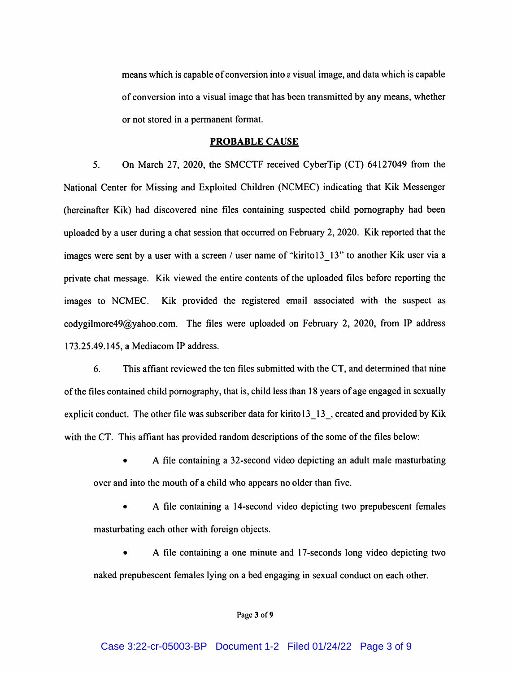means which is capable of conversion into a visual image, and data which is capable of conversion into a visual image that has been transmitted by any means, whether or not stored in a permanent format.

#### **PROBABLE CAUSE**

 $5<sub>1</sub>$ On March 27, 2020, the SMCCTF received CyberTip (CT) 64127049 from the National Center for Missing and Exploited Children (NCMEC) indicating that Kik Messenger (hereinafter Kik) had discovered nine files containing suspected child pornography had been uploaded by a user during a chat session that occurred on February 2, 2020. Kik reported that the images were sent by a user with a screen / user name of "kirito13 13" to another Kik user via a private chat message. Kik viewed the entire contents of the uploaded files before reporting the images to NCMEC. Kik provided the registered email associated with the suspect as codygilmore49@yahoo.com. The files were uploaded on February 2, 2020, from IP address 173.25.49.145, a Mediacom IP address.

This affiant reviewed the ten files submitted with the CT, and determined that nine 6. of the files contained child pornography, that is, child less than 18 years of age engaged in sexually explicit conduct. The other file was subscriber data for kirito 13 13, created and provided by Kik with the CT. This affiant has provided random descriptions of the some of the files below:

A file containing a 32-second video depicting an adult male masturbating over and into the mouth of a child who appears no older than five.

A file containing a 14-second video depicting two prepubescent females masturbating each other with foreign objects.

A file containing a one minute and 17-seconds long video depicting two naked prepubescent females lying on a bed engaging in sexual conduct on each other.

#### Page 3 of 9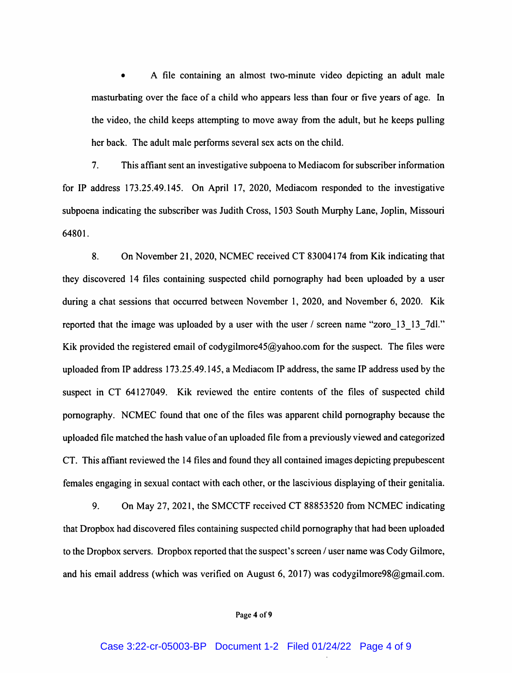A file containing an almost two-minute video depicting an adult male masturbating over the face of a child who appears less than four or five years of age. In the video, the child keeps attempting to move away from the adult, but he keeps pulling her back. The adult male performs several sex acts on the child.

 $7.$ This affiant sent an investigative subpoena to Mediacom for subscriber information for IP address 173.25.49.145. On April 17, 2020, Mediacom responded to the investigative subpoena indicating the subscriber was Judith Cross, 1503 South Murphy Lane, Joplin, Missouri 64801.

 $\mathbf{R}$ On November 21, 2020, NCMEC received CT 83004174 from Kik indicating that they discovered 14 files containing suspected child pornography had been uploaded by a user during a chat sessions that occurred between November 1, 2020, and November 6, 2020. Kik reported that the image was uploaded by a user with the user / screen name "zoro 13 13 7dl." Kik provided the registered email of codygilmore45@yahoo.com for the suspect. The files were uploaded from IP address 173.25.49.145, a Mediacom IP address, the same IP address used by the suspect in CT 64127049. Kik reviewed the entire contents of the files of suspected child pornography. NCMEC found that one of the files was apparent child pornography because the uploaded file matched the hash value of an uploaded file from a previously viewed and categorized CT. This affiant reviewed the 14 files and found they all contained images depicting prepubescent females engaging in sexual contact with each other, or the lascivious displaying of their genitalia.

9. On May 27, 2021, the SMCCTF received CT 88853520 from NCMEC indicating that Dropbox had discovered files containing suspected child pornography that had been uploaded to the Dropbox servers. Dropbox reported that the suspect's screen / user name was Cody Gilmore, and his email address (which was verified on August 6, 2017) was codygilmore98@gmail.com.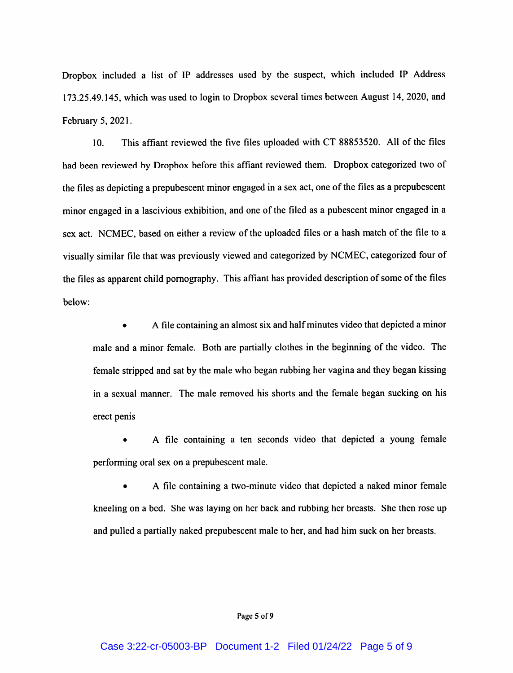Dropbox included a list of IP addresses used by the suspect, which included IP Address 173.25.49.145, which was used to login to Dropbox several times between August 14, 2020, and February 5, 2021.

This affiant reviewed the five files uploaded with CT 88853520. All of the files  $10.$ had been reviewed by Dropbox before this affiant reviewed them. Dropbox categorized two of the files as depicting a prepubescent minor engaged in a sex act, one of the files as a prepubescent minor engaged in a lascivious exhibition, and one of the filed as a pubescent minor engaged in a sex act. NCMEC, based on either a review of the uploaded files or a hash match of the file to a visually similar file that was previously viewed and categorized by NCMEC, categorized four of the files as apparent child pornography. This affiant has provided description of some of the files below:

A file containing an almost six and half minutes video that depicted a minor male and a minor female. Both are partially clothes in the beginning of the video. The female stripped and sat by the male who began rubbing her vagina and they began kissing in a sexual manner. The male removed his shorts and the female began sucking on his erect penis

A file containing a ten seconds video that depicted a young female performing oral sex on a prepubescent male.

A file containing a two-minute video that depicted a naked minor female kneeling on a bed. She was laying on her back and rubbing her breasts. She then rose up and pulled a partially naked prepubescent male to her, and had him suck on her breasts.

#### Page 5 of 9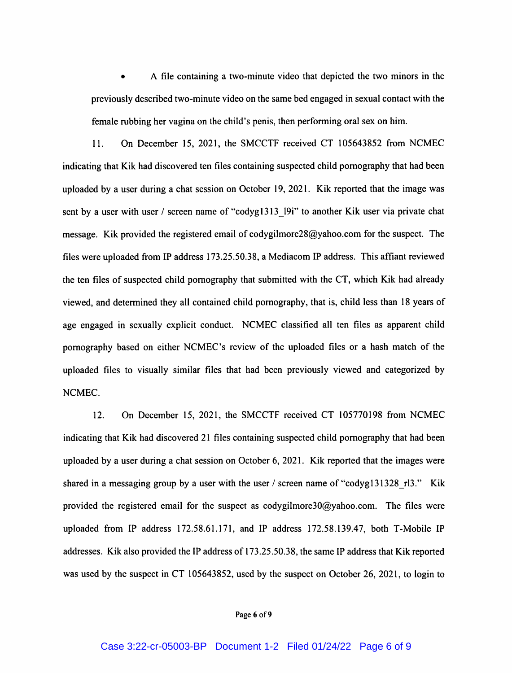A file containing a two-minute video that depicted the two minors in the previously described two-minute video on the same bed engaged in sexual contact with the female rubbing her vagina on the child's penis, then performing oral sex on him.

11. On December 15, 2021, the SMCCTF received CT 105643852 from NCMEC indicating that Kik had discovered ten files containing suspected child pornography that had been uploaded by a user during a chat session on October 19, 2021. Kik reported that the image was sent by a user with user / screen name of "codyg1313 19i" to another Kik user via private chat message. Kik provided the registered email of codygilmore28@yahoo.com for the suspect. The files were uploaded from IP address 173.25.50.38, a Mediacom IP address. This affiant reviewed the ten files of suspected child pornography that submitted with the CT, which Kik had already viewed, and determined they all contained child pornography, that is, child less than 18 years of age engaged in sexually explicit conduct. NCMEC classified all ten files as apparent child pornography based on either NCMEC's review of the uploaded files or a hash match of the uploaded files to visually similar files that had been previously viewed and categorized by NCMEC.

On December 15, 2021, the SMCCTF received CT 105770198 from NCMEC  $12.$ indicating that Kik had discovered 21 files containing suspected child pornography that had been uploaded by a user during a chat session on October 6, 2021. Kik reported that the images were shared in a messaging group by a user with the user / screen name of "codyg131328 rl3." Kik provided the registered email for the suspect as codygilmore30@yahoo.com. The files were uploaded from IP address 172.58.61.171, and IP address 172.58.139.47, both T-Mobile IP addresses. Kik also provided the IP address of 173.25.50.38, the same IP address that Kik reported was used by the suspect in CT 105643852, used by the suspect on October 26, 2021, to login to

#### Page 6 of 9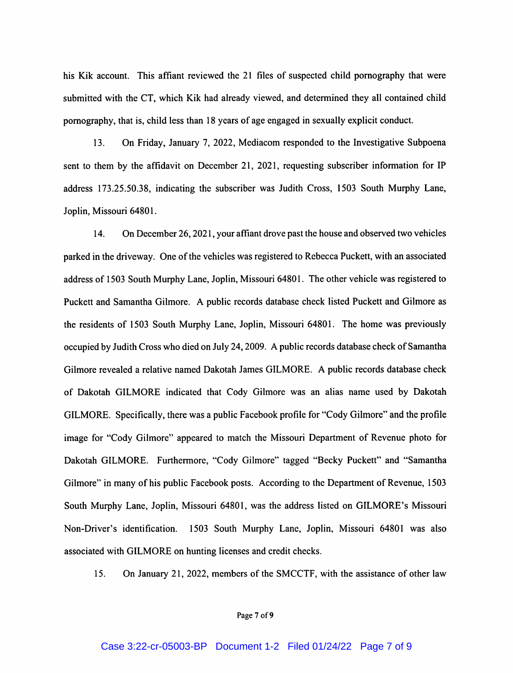his Kik account. This affiant reviewed the 21 files of suspected child pornography that were submitted with the CT, which Kik had already viewed, and determined they all contained child pornography, that is, child less than 18 years of age engaged in sexually explicit conduct.

13. On Friday, January 7, 2022, Mediacom responded to the Investigative Subpoena sent to them by the affidavit on December 21, 2021, requesting subscriber information for IP address 173.25.50.38, indicating the subscriber was Judith Cross, 1503 South Murphy Lane, Joplin, Missouri 64801.

14. On December 26, 2021, your affiant drove past the house and observed two vehicles parked in the driveway. One of the vehicles was registered to Rebecca Puckett, with an associated address of 1503 South Murphy Lane, Joplin, Missouri 64801. The other vehicle was registered to Puckett and Samantha Gilmore. A public records database check listed Puckett and Gilmore as the residents of 1503 South Murphy Lane, Joplin, Missouri 64801. The home was previously occupied by Judith Cross who died on July 24, 2009. A public records database check of Samantha Gilmore revealed a relative named Dakotah James GILMORE. A public records database check of Dakotah GILMORE indicated that Cody Gilmore was an alias name used by Dakotah GILMORE. Specifically, there was a public Facebook profile for "Cody Gilmore" and the profile image for "Cody Gilmore" appeared to match the Missouri Department of Revenue photo for Dakotah GILMORE. Furthermore, "Cody Gilmore" tagged "Becky Puckett" and "Samantha Gilmore" in many of his public Facebook posts. According to the Department of Revenue, 1503 South Murphy Lane, Joplin, Missouri 64801, was the address listed on GILMORE's Missouri Non-Driver's identification. 1503 South Murphy Lane, Joplin, Missouri 64801 was also associated with GILMORE on hunting licenses and credit checks.

15. On January 21, 2022, members of the SMCCTF, with the assistance of other law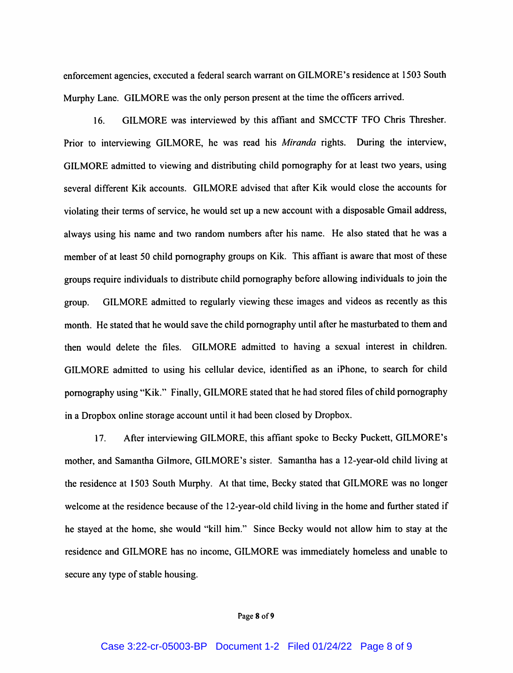enforcement agencies, executed a federal search warrant on GILMORE's residence at 1503 South Murphy Lane. GILMORE was the only person present at the time the officers arrived.

GILMORE was interviewed by this affiant and SMCCTF TFO Chris Thresher.  $16.$ Prior to interviewing GILMORE, he was read his Miranda rights. During the interview, GILMORE admitted to viewing and distributing child pornography for at least two years, using several different Kik accounts. GILMORE advised that after Kik would close the accounts for violating their terms of service, he would set up a new account with a disposable Gmail address, always using his name and two random numbers after his name. He also stated that he was a member of at least 50 child pornography groups on Kik. This affiant is aware that most of these groups require individuals to distribute child pornography before allowing individuals to join the GILMORE admitted to regularly viewing these images and videos as recently as this group. month. He stated that he would save the child pornography until after he masturbated to them and then would delete the files. GILMORE admitted to having a sexual interest in children. GILMORE admitted to using his cellular device, identified as an iPhone, to search for child pornography using "Kik." Finally, GILMORE stated that he had stored files of child pornography in a Dropbox online storage account until it had been closed by Dropbox.

17. After interviewing GILMORE, this affiant spoke to Becky Puckett, GILMORE's mother, and Samantha Gilmore, GILMORE's sister. Samantha has a 12-year-old child living at the residence at 1503 South Murphy. At that time, Becky stated that GILMORE was no longer welcome at the residence because of the 12-year-old child living in the home and further stated if he stayed at the home, she would "kill him." Since Becky would not allow him to stay at the residence and GILMORE has no income, GILMORE was immediately homeless and unable to secure any type of stable housing.

#### Page 8 of 9